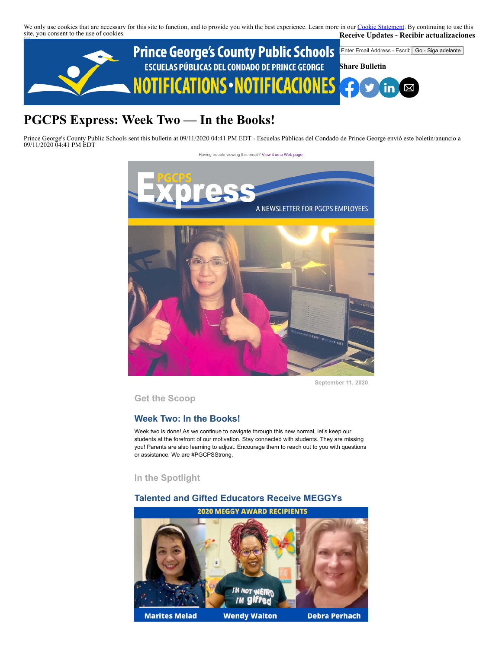We only use cookies that are necessary for this site to function, and to provide you with the best experience. Learn more in our [Cookie Statement.](https://subscriberhelp.granicus.com/s/article/Cookies) By continuing to use this site, you consent to the use of cookies. **Receive Updates - Recibir actualizaciones**



# **PGCPS Express: Week Two — In the Books!**

Prince George's County Public Schools sent this bulletin at 09/11/2020 04:41 PM EDT - Escuelas Públicas del Condado de Prince George envió este boletín/anuncio a 09/11/2020 04:41 PM EDT



**September 11, 2020**

**Get the Scoop**

# **Week Two: In the Books!**

Week two is done! As we continue to navigate through this new normal, let's keep our students at the forefront of our motivation. Stay connected with students. They are missing you! Parents are also learning to adjust. Encourage them to reach out to you with questions or assistance. We are #PGCPSStrong.

**In the Spotlight**

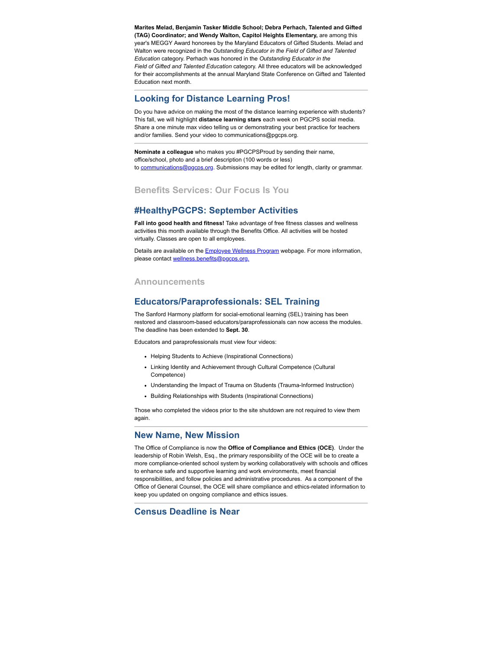**Marites Melad, Benjamin Tasker Middle School; Debra Perhach, Talented and Gifted (TAG) Coordinator; and Wendy Walton, Capitol Heights Elementary,** are among this year's MEGGY Award honorees by the Maryland Educators of Gifted Students. Melad and Walton were recognized in the *Outstanding Educator in the Field of Gifted and Talented Education* category. Perhach was honored in the *Outstanding Educator in the Field of Gifted and Talented Education* category. All three educators will be acknowledged for their accomplishments at the annual Maryland State Conference on Gifted and Talented Education next month.

# **Looking for Distance Learning Pros!**

Do you have advice on making the most of the distance learning experience with students? This fall, we will highlight **distance learning stars** each week on PGCPS social media. Share a one minute max video telling us or demonstrating your best practice for teachers and/or families. Send your video to communications@pgcps.org.

**Nominate a colleague** who makes you #PGCPSProud by sending their name, office/school, photo and a brief description (100 words or less) to [communications@pgcps.org](mailto:communications@pgcps.org). Submissions may be edited for length, clarity or grammar.

# **Benefits Services: Our Focus Is You**

## **#HealthyPGCPS: September Activities**

**Fall into good health and fitness!** Take advantage of free fitness classes and wellness activities this month available through the Benefits Office. All activities will be hosted virtually. Classes are open to all employees.

Details are available on the **Employee Wellness Program** webpage. For more information, please contact [wellness.benefits@pgcps.org.](mailto:wellness.benefits@pgcps.org)

#### **Announcements**

# **Educators/Paraprofessionals: SEL Training**

The Sanford Harmony platform for social-emotional learning (SEL) training has been restored and classroom-based educators/paraprofessionals can now access the modules. The deadline has been extended to **Sept. 30**.

Educators and paraprofessionals must view four videos:

- Helping Students to Achieve (Inspirational Connections)
- Linking Identity and Achievement through Cultural Competence (Cultural Competence)
- Understanding the Impact of Trauma on Students (Trauma-Informed Instruction)
- Building Relationships with Students (Inspirational Connections)

Those who completed the videos prior to the site shutdown are not required to view them again.

#### **New Name, New Mission**

The Office of Compliance is now the **Office of Compliance and Ethics (OCE)**. Under the leadership of Robin Welsh, Esq., the primary responsibility of the OCE will be to create a more compliance-oriented school system by working collaboratively with schools and offices to enhance safe and supportive learning and work environments, meet financial responsibilities, and follow policies and administrative procedures. As a component of the Office of General Counsel, the OCE will share compliance and ethics-related information to keep you updated on ongoing compliance and ethics issues.

# **Census Deadline is Near**